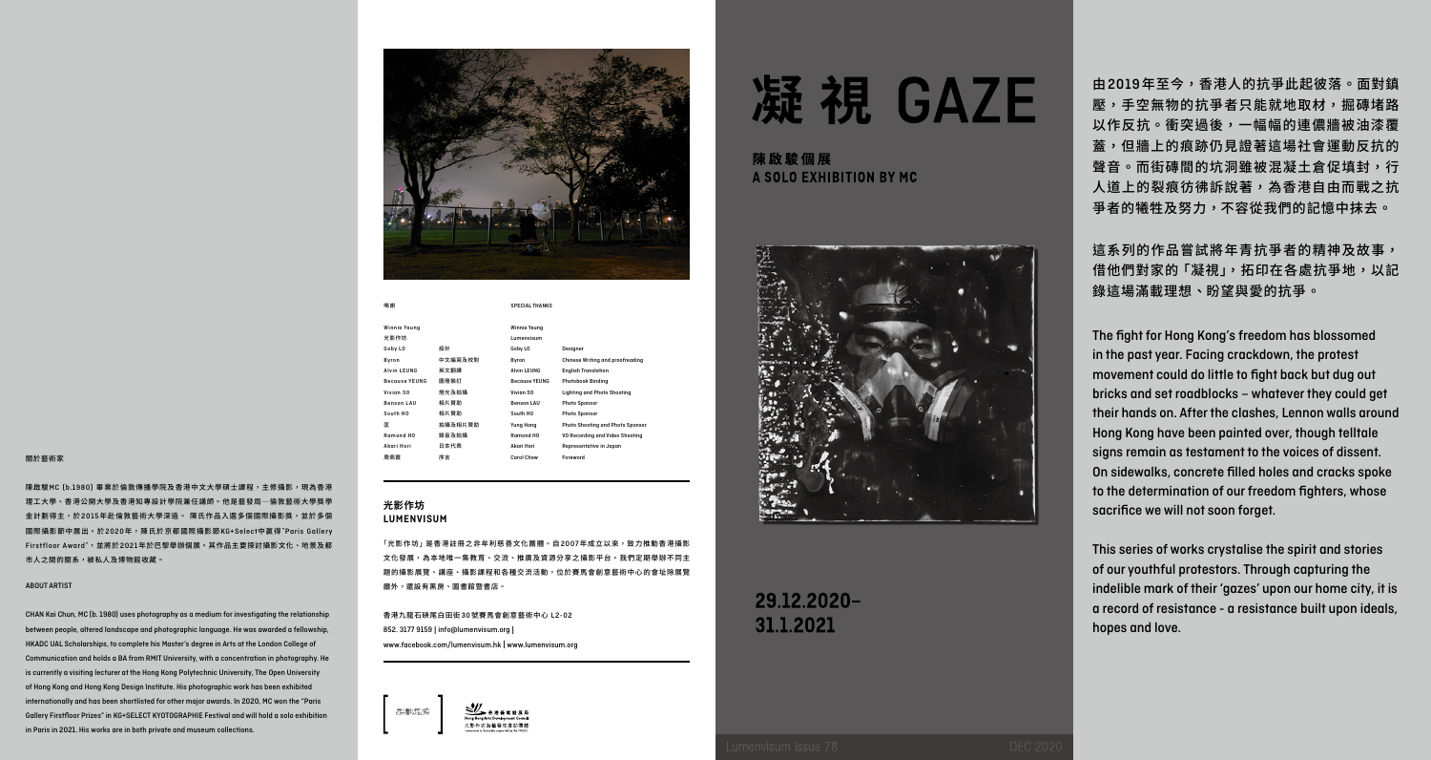「光影作坊」是香港註冊之非牟利慈善文化團體。自2007年成立以來,致力推動香港攝影 文化發展,為本地唯一集教育、交流、推廣及資源分享之攝影平台。我們定期舉辦不同主 題的攝影展覽、講座、攝影課程和各種交流活動,位於賽馬會創意藝術中心的會址除展覽 廳外,還設有黑房、圖書館暨書店。

SPECIAL THANKS

由2019年至今,香港人的抗爭此起彼落。面對鎮 壓,手空無物的抗爭者只能就地取材,掘磚堵路 以作反抗。衝突過後,一幅幅的連儂牆被油漆覆 蓋,但牆上的痕跡仍見證著這場社會運動反抗的 聲音。而街磚間的坑洞雖被混凝土倉促填封,行 人道上的裂痕彷彿訴說著,為香港自由而戰之抗 爭者的犧牲及努力,不容從我們的記憶中抹去。

香港九龍石硤尾白田街30號賽馬會創意藝術中心 L2-02 852. 3177 9159 | info@lumenvisum.org | www.facebook.com/lumenvisum.hk | www.lumenvisum.org





陳啟駿個展 A SOLO EXHIBITION BY MC



# 29.12.2020-31.1.2021

# 凝視 GAZE



這系列的作品嘗試將年青抗爭者的精神及故事, 借他們對家的「凝視」,拓印在各處抗爭地,以記 錄這場滿載理想、盼望與愛的抗爭。

Winnie Yeung 光影作坊 Goby LO

## **光影作坊 LUMENVISUM**

Winnie Yeung Lumenvisum Goby LO

Benson LA South HO

鳴謝

Byron 中文編寫及校對 Alvin LEUNG 英文翻譯 Because YEUNG 圖冊裝訂 Vivian SO 燈光及拍摄 Benson LAU 相片贊助 South HO 相片贊助 匡 拍攝及相片贊助 Ramond HO 錄音及拍攝 Akari Hori 日本代表 周佩霞 序言

Alvin LEUNG English Translation Because YEUNG Photobook Binding Vivian SO Lighting and Photo Shooting

Yung Hong Photo Shooting and Photo Sponsor

Akari Hori Representative in Japan

Carol Chow Foreword

**Chinese Writing and proofreadi** 

VO Recording and Video Shooting

The fight for Hong Kong's freedom has blossomed in the past year. Facing crackdown, the protest movement could do little to fight back but dug out bricks and set roadblocks – whatever they could get their hands on. After the clashes, Lennon walls around Hong Kong have been painted over, though telltale signs remain as testament to the voices of dissent. On sidewalks, concrete filled holes and cracks spoke to the determination of our freedom fighters, whose sacrifice we will not soon forget.

This series of works crystalise the spirit and stories of our youthful protestors. Through capturing the indelible mark of their 'gazes' upon our home city, it is a record of resistance - a resistance built upon ideals, hopes and love.

#### 關於藝術家

陳啟駿MC (b.1980) 畢業於倫敦傳播學院及香港中文大學碩士課程,主修攝影,現為香港 理工大學、香港公開大學及香港知專設計學院兼任講師。他是藝發局―倫敦藝術大學獎學 金計劃得主,於2015年赴倫敦藝術大學深造。 陳氏作品入選多個國際攝影獎,並於多個 國際攝影節中展出。於2020年,陳氏於京都國際攝影節KG+Select中贏得"Paris Gallery Firstfloor Award",並將於2021年於巴黎舉辦個展。其作品主要探討攝影文化、地景及都 市人之間的關系,被私人及博物館收藏。

#### ABOUT ARTIST

CHAN Kai Chun, MC (b. 1980) uses photography as a medium for investigating the relationship between people, altered landscape and photographic language. He was awarded a fellowship, HKADC UAL Scholarships, to complete his Master's degree in Arts at the London College of Communication and holds a BA from RMIT University, with a concentration in photography. He is currently a visiting lecturer at the Hong Kong Polytechnic University, The Open University of Hong Kong and Hong Kong Design Institute. His photographic work has been exhibited internationally and has been shortlisted for other major awards. In 2020, MC won the "Paris Gallery Firstfloor Prizes" in KG+SELECT KYOTOGRAPHIE Festival and will hold a solo exhibition in Paris in 2021. His works are in both private and museum collections.